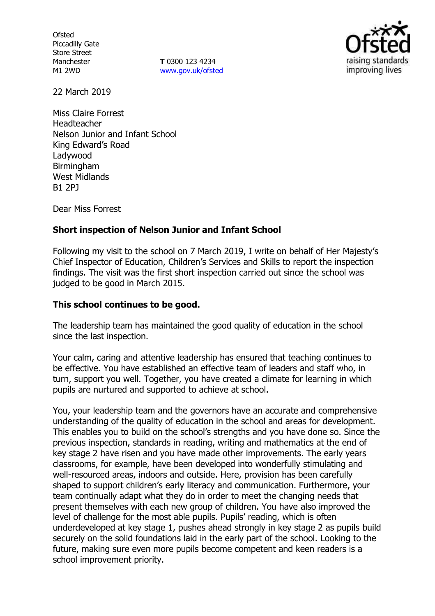**Ofsted** Piccadilly Gate Store Street Manchester M1 2WD

**T** 0300 123 4234 www.gov.uk/ofsted



22 March 2019

Miss Claire Forrest Headteacher Nelson Junior and Infant School King Edward's Road Ladywood **Birmingham** West Midlands B1 2PJ

Dear Miss Forrest

### **Short inspection of Nelson Junior and Infant School**

Following my visit to the school on 7 March 2019, I write on behalf of Her Majesty's Chief Inspector of Education, Children's Services and Skills to report the inspection findings. The visit was the first short inspection carried out since the school was judged to be good in March 2015.

#### **This school continues to be good.**

The leadership team has maintained the good quality of education in the school since the last inspection.

Your calm, caring and attentive leadership has ensured that teaching continues to be effective. You have established an effective team of leaders and staff who, in turn, support you well. Together, you have created a climate for learning in which pupils are nurtured and supported to achieve at school.

You, your leadership team and the governors have an accurate and comprehensive understanding of the quality of education in the school and areas for development. This enables you to build on the school's strengths and you have done so. Since the previous inspection, standards in reading, writing and mathematics at the end of key stage 2 have risen and you have made other improvements. The early years classrooms, for example, have been developed into wonderfully stimulating and well-resourced areas, indoors and outside. Here, provision has been carefully shaped to support children's early literacy and communication. Furthermore, your team continually adapt what they do in order to meet the changing needs that present themselves with each new group of children. You have also improved the level of challenge for the most able pupils. Pupils' reading, which is often underdeveloped at key stage 1, pushes ahead strongly in key stage 2 as pupils build securely on the solid foundations laid in the early part of the school. Looking to the future, making sure even more pupils become competent and keen readers is a school improvement priority.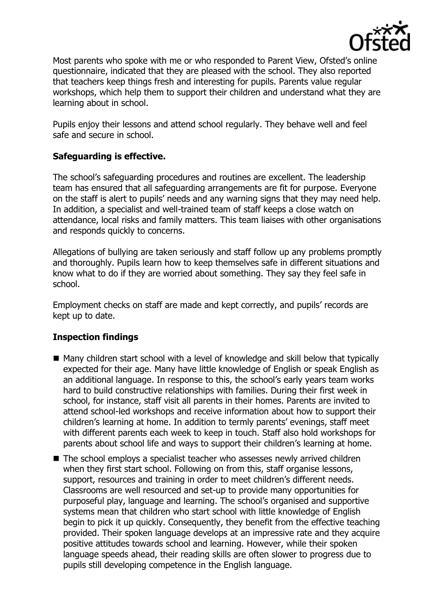

Most parents who spoke with me or who responded to Parent View, Ofsted's online questionnaire, indicated that they are pleased with the school. They also reported that teachers keep things fresh and interesting for pupils. Parents value regular workshops, which help them to support their children and understand what they are learning about in school.

Pupils enjoy their lessons and attend school regularly. They behave well and feel safe and secure in school.

## **Safeguarding is effective.**

The school's safeguarding procedures and routines are excellent. The leadership team has ensured that all safeguarding arrangements are fit for purpose. Everyone on the staff is alert to pupils' needs and any warning signs that they may need help. In addition, a specialist and well-trained team of staff keeps a close watch on attendance, local risks and family matters. This team liaises with other organisations and responds quickly to concerns.

Allegations of bullying are taken seriously and staff follow up any problems promptly and thoroughly. Pupils learn how to keep themselves safe in different situations and know what to do if they are worried about something. They say they feel safe in school.

Employment checks on staff are made and kept correctly, and pupils' records are kept up to date.

# **Inspection findings**

- Many children start school with a level of knowledge and skill below that typically expected for their age. Many have little knowledge of English or speak English as an additional language. In response to this, the school's early years team works hard to build constructive relationships with families. During their first week in school, for instance, staff visit all parents in their homes. Parents are invited to attend school-led workshops and receive information about how to support their children's learning at home. In addition to termly parents' evenings, staff meet with different parents each week to keep in touch. Staff also hold workshops for parents about school life and ways to support their children's learning at home.
- The school employs a specialist teacher who assesses newly arrived children when they first start school. Following on from this, staff organise lessons, support, resources and training in order to meet children's different needs. Classrooms are well resourced and set-up to provide many opportunities for purposeful play, language and learning. The school's organised and supportive systems mean that children who start school with little knowledge of English begin to pick it up quickly. Consequently, they benefit from the effective teaching provided. Their spoken language develops at an impressive rate and they acquire positive attitudes towards school and learning. However, while their spoken language speeds ahead, their reading skills are often slower to progress due to pupils still developing competence in the English language.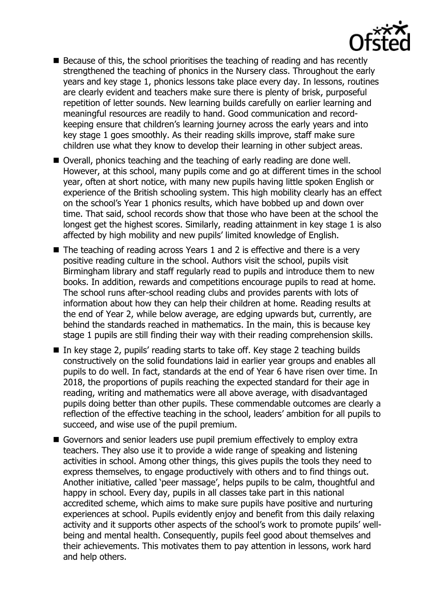

- Because of this, the school prioritises the teaching of reading and has recently strengthened the teaching of phonics in the Nursery class. Throughout the early years and key stage 1, phonics lessons take place every day. In lessons, routines are clearly evident and teachers make sure there is plenty of brisk, purposeful repetition of letter sounds. New learning builds carefully on earlier learning and meaningful resources are readily to hand. Good communication and recordkeeping ensure that children's learning journey across the early years and into key stage 1 goes smoothly. As their reading skills improve, staff make sure children use what they know to develop their learning in other subject areas.
- Overall, phonics teaching and the teaching of early reading are done well. However, at this school, many pupils come and go at different times in the school year, often at short notice, with many new pupils having little spoken English or experience of the British schooling system. This high mobility clearly has an effect on the school's Year 1 phonics results, which have bobbed up and down over time. That said, school records show that those who have been at the school the longest get the highest scores. Similarly, reading attainment in key stage 1 is also affected by high mobility and new pupils' limited knowledge of English.
- $\blacksquare$  The teaching of reading across Years 1 and 2 is effective and there is a very positive reading culture in the school. Authors visit the school, pupils visit Birmingham library and staff regularly read to pupils and introduce them to new books. In addition, rewards and competitions encourage pupils to read at home. The school runs after-school reading clubs and provides parents with lots of information about how they can help their children at home. Reading results at the end of Year 2, while below average, are edging upwards but, currently, are behind the standards reached in mathematics. In the main, this is because key stage 1 pupils are still finding their way with their reading comprehension skills.
- In key stage 2, pupils' reading starts to take off. Key stage 2 teaching builds constructively on the solid foundations laid in earlier year groups and enables all pupils to do well. In fact, standards at the end of Year 6 have risen over time. In 2018, the proportions of pupils reaching the expected standard for their age in reading, writing and mathematics were all above average, with disadvantaged pupils doing better than other pupils. These commendable outcomes are clearly a reflection of the effective teaching in the school, leaders' ambition for all pupils to succeed, and wise use of the pupil premium.
- Governors and senior leaders use pupil premium effectively to employ extra teachers. They also use it to provide a wide range of speaking and listening activities in school. Among other things, this gives pupils the tools they need to express themselves, to engage productively with others and to find things out. Another initiative, called 'peer massage', helps pupils to be calm, thoughtful and happy in school. Every day, pupils in all classes take part in this national accredited scheme, which aims to make sure pupils have positive and nurturing experiences at school. Pupils evidently enjoy and benefit from this daily relaxing activity and it supports other aspects of the school's work to promote pupils' wellbeing and mental health. Consequently, pupils feel good about themselves and their achievements. This motivates them to pay attention in lessons, work hard and help others.